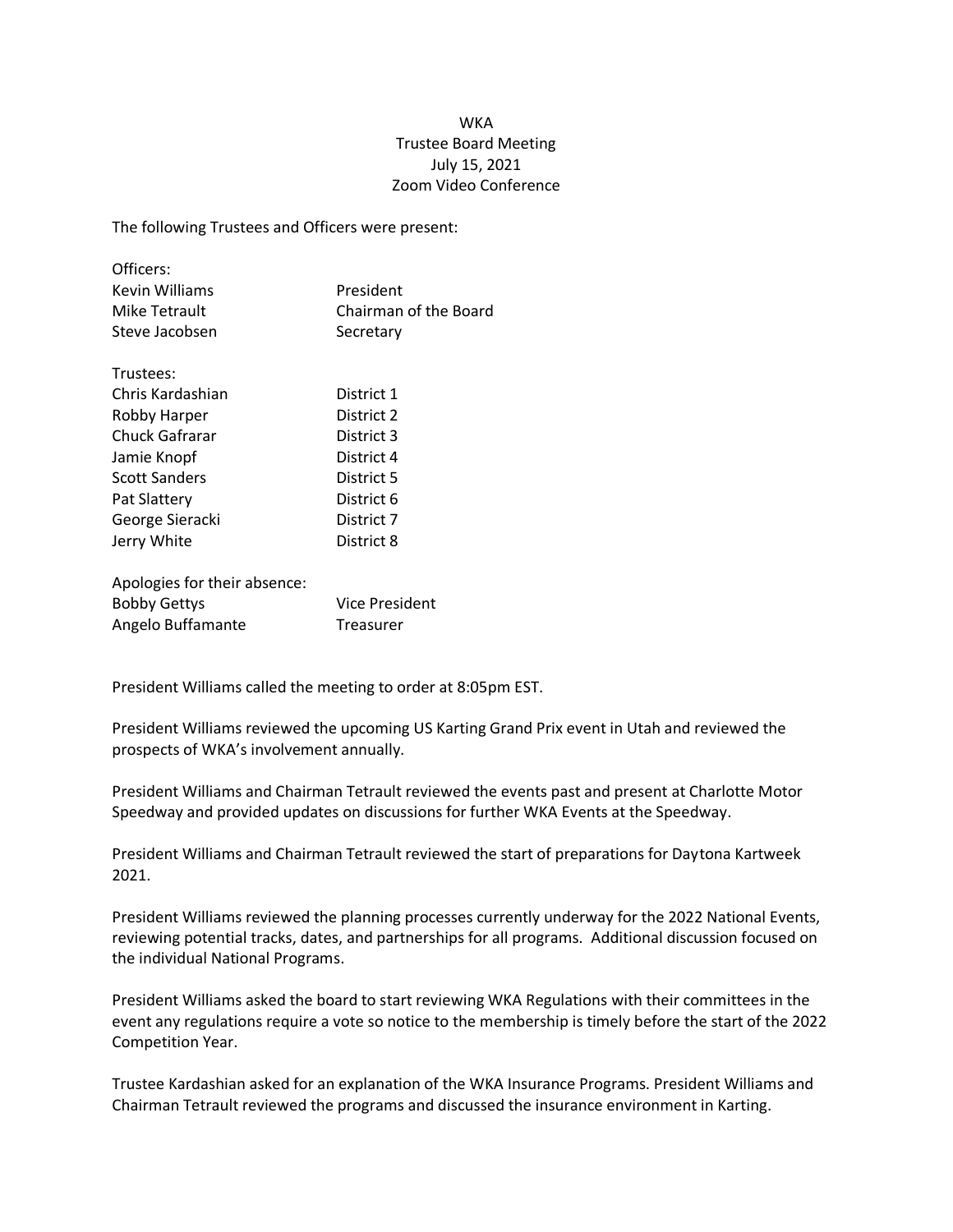## WKA Trustee Board Meeting July 15, 2021 Zoom Video Conference

The following Trustees and Officers were present:

| Officers:      |                       |
|----------------|-----------------------|
| Kevin Williams | President             |
| Mike Tetrault  | Chairman of the Board |
| Steve Jacobsen | Secretary             |

| Trustees:             |            |
|-----------------------|------------|
| Chris Kardashian      | District 1 |
| Robby Harper          | District 2 |
| <b>Chuck Gafrarar</b> | District 3 |
| Jamie Knopf           | District 4 |
| <b>Scott Sanders</b>  | District 5 |
| Pat Slattery          | District 6 |
| George Sieracki       | District 7 |
| Jerry White           | District 8 |
|                       |            |

| Apologies for their absence: |                       |
|------------------------------|-----------------------|
| <b>Bobby Gettys</b>          | <b>Vice President</b> |
| Angelo Buffamante            | Treasurer             |

President Williams called the meeting to order at 8:05pm EST.

President Williams reviewed the upcoming US Karting Grand Prix event in Utah and reviewed the prospects of WKA's involvement annually.

President Williams and Chairman Tetrault reviewed the events past and present at Charlotte Motor Speedway and provided updates on discussions for further WKA Events at the Speedway.

President Williams and Chairman Tetrault reviewed the start of preparations for Daytona Kartweek 2021.

President Williams reviewed the planning processes currently underway for the 2022 National Events, reviewing potential tracks, dates, and partnerships for all programs. Additional discussion focused on the individual National Programs.

President Williams asked the board to start reviewing WKA Regulations with their committees in the event any regulations require a vote so notice to the membership is timely before the start of the 2022 Competition Year.

Trustee Kardashian asked for an explanation of the WKA Insurance Programs. President Williams and Chairman Tetrault reviewed the programs and discussed the insurance environment in Karting.